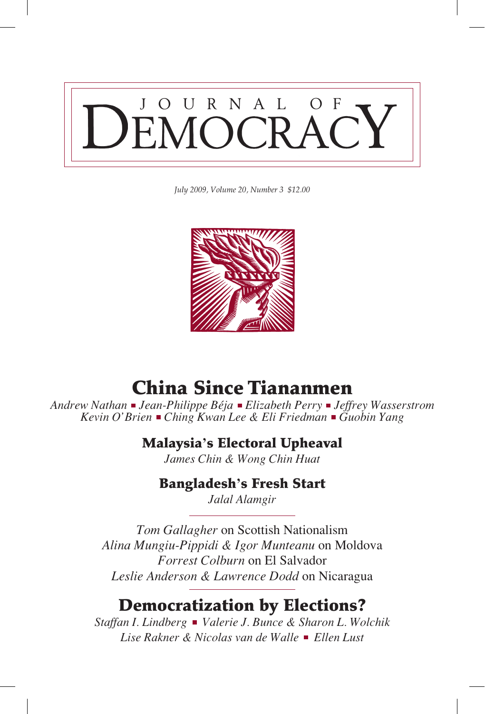# JOURNAL OF

*July 2009, Volume 20, Number 3 \$12.00*



# China Since Tiananmen

*Andrew Nathan Jean-Philippe Béja Elizabeth Perry Jeffrey Wasserstrom Kevin O'Brien Ching Kwan Lee & Eli Friedman Guobin Yang* 

## Malaysia**'**s Electoral Upheaval

*James Chin & Wong Chin Huat*

## Bangladesh**'**s Fresh Start

*Jalal Alamgir*

*Tom Gallagher* on Scottish Nationalism *Alina Mungiu-Pippidi & Igor Munteanu* on Moldova *Forrest Colburn* on El Salvador *Leslie Anderson & Lawrence Dodd* on Nicaragua

# Democratization by Elections?

*Staffan I. Lindberg* ■ *Valerie J. Bunce & Sharon L. Wolchik Lise Rakner & Nicolas van de Walle Ellen Lust*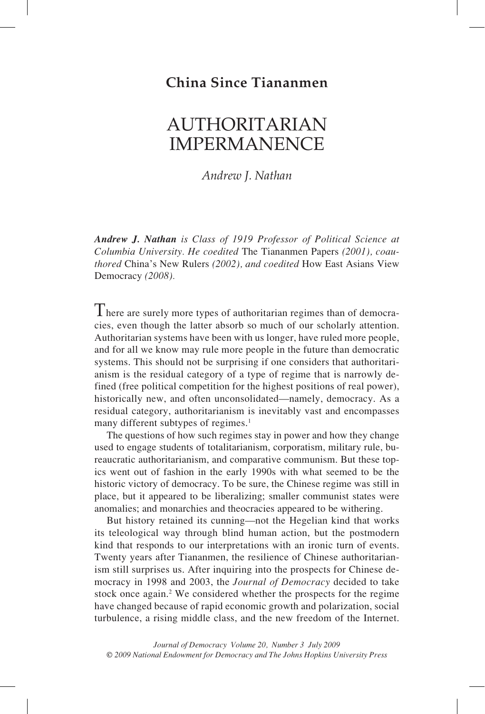### **China Since Tiananmen**

## authoritarian impermanence

*Andrew J. Nathan*

*Andrew J. Nathan is Class of 1919 Professor of Political Science at Columbia University. He coedited* The Tiananmen Papers *(2001), coauthored* China's New Rulers *(2002), and coedited* How East Asians View Democracy *(2008).* 

There are surely more types of authoritarian regimes than of democracies, even though the latter absorb so much of our scholarly attention. Authoritarian systems have been with us longer, have ruled more people, and for all we know may rule more people in the future than democratic systems. This should not be surprising if one considers that authoritarianism is the residual category of a type of regime that is narrowly defined (free political competition for the highest positions of real power), historically new, and often unconsolidated—namely, democracy. As a residual category, authoritarianism is inevitably vast and encompasses many different subtypes of regimes.<sup>1</sup>

The questions of how such regimes stay in power and how they change used to engage students of totalitarianism, corporatism, military rule, bureaucratic authoritarianism, and comparative communism. But these topics went out of fashion in the early 1990s with what seemed to be the historic victory of democracy. To be sure, the Chinese regime was still in place, but it appeared to be liberalizing; smaller communist states were anomalies; and monarchies and theocracies appeared to be withering.

But history retained its cunning—not the Hegelian kind that works its teleological way through blind human action, but the postmodern kind that responds to our interpretations with an ironic turn of events. Twenty years after Tiananmen, the resilience of Chinese authoritarianism still surprises us. After inquiring into the prospects for Chinese democracy in 1998 and 2003, the *Journal of Democracy* decided to take stock once again.<sup>2</sup> We considered whether the prospects for the regime have changed because of rapid economic growth and polarization, social turbulence, a rising middle class, and the new freedom of the Internet.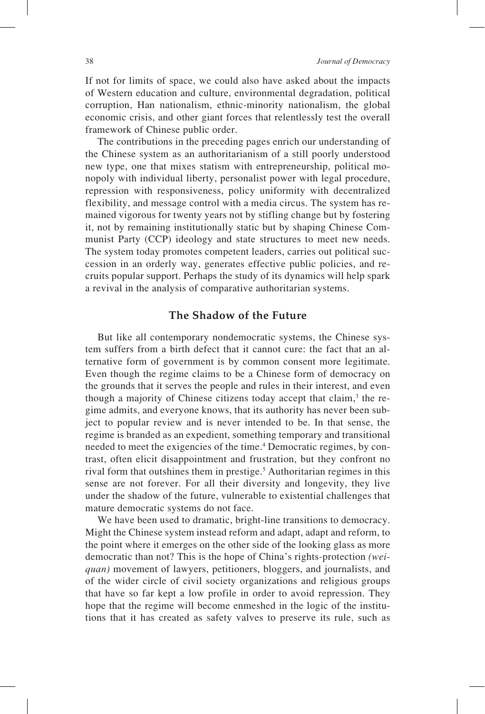If not for limits of space, we could also have asked about the impacts of Western education and culture, environmental degradation, political corruption, Han nationalism, ethnic-minority nationalism, the global economic crisis, and other giant forces that relentlessly test the overall framework of Chinese public order.

The contributions in the preceding pages enrich our understanding of the Chinese system as an authoritarianism of a still poorly understood new type, one that mixes statism with entrepreneurship, political monopoly with individual liberty, personalist power with legal procedure, repression with responsiveness, policy uniformity with decentralized flexibility, and message control with a media circus. The system has remained vigorous for twenty years not by stifling change but by fostering it, not by remaining institutionally static but by shaping Chinese Communist Party (CCP) ideology and state structures to meet new needs. The system today promotes competent leaders, carries out political succession in an orderly way, generates effective public policies, and recruits popular support. Perhaps the study of its dynamics will help spark a revival in the analysis of comparative authoritarian systems.

#### **The Shadow of the Future**

But like all contemporary nondemocratic systems, the Chinese system suffers from a birth defect that it cannot cure: the fact that an alternative form of government is by common consent more legitimate. Even though the regime claims to be a Chinese form of democracy on the grounds that it serves the people and rules in their interest, and even though a majority of Chinese citizens today accept that claim,<sup>3</sup> the regime admits, and everyone knows, that its authority has never been subject to popular review and is never intended to be. In that sense, the regime is branded as an expedient, something temporary and transitional needed to meet the exigencies of the time.<sup>4</sup> Democratic regimes, by contrast, often elicit disappointment and frustration, but they confront no rival form that outshines them in prestige.<sup>5</sup> Authoritarian regimes in this sense are not forever. For all their diversity and longevity, they live under the shadow of the future, vulnerable to existential challenges that mature democratic systems do not face.

We have been used to dramatic, bright-line transitions to democracy. Might the Chinese system instead reform and adapt, adapt and reform, to the point where it emerges on the other side of the looking glass as more democratic than not? This is the hope of China's rights-protection *(weiquan)* movement of lawyers, petitioners, bloggers, and journalists, and of the wider circle of civil society organizations and religious groups that have so far kept a low profile in order to avoid repression. They hope that the regime will become enmeshed in the logic of the institutions that it has created as safety valves to preserve its rule, such as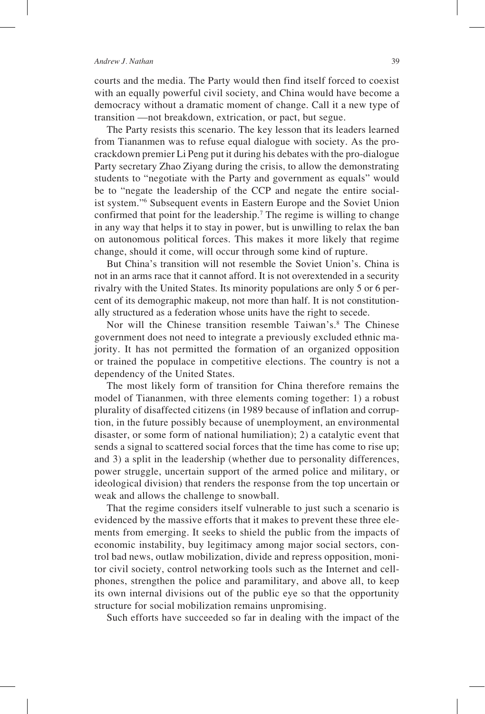#### *Andrew J. Nathan* 39

courts and the media. The Party would then find itself forced to coexist with an equally powerful civil society, and China would have become a democracy without a dramatic moment of change. Call it a new type of transition —not breakdown, extrication, or pact, but segue.

The Party resists this scenario. The key lesson that its leaders learned from Tiananmen was to refuse equal dialogue with society. As the procrackdown premier Li Peng put it during his debates with the pro-dialogue Party secretary Zhao Ziyang during the crisis, to allow the demonstrating students to "negotiate with the Party and government as equals" would be to "negate the leadership of the CCP and negate the entire socialist system."6 Subsequent events in Eastern Europe and the Soviet Union confirmed that point for the leadership.7 The regime is willing to change in any way that helps it to stay in power, but is unwilling to relax the ban on autonomous political forces. This makes it more likely that regime change, should it come, will occur through some kind of rupture.

But China's transition will not resemble the Soviet Union's. China is not in an arms race that it cannot afford. It is not overextended in a security rivalry with the United States. Its minority populations are only 5 or 6 percent of its demographic makeup, not more than half. It is not constitutionally structured as a federation whose units have the right to secede.

Nor will the Chinese transition resemble Taiwan's.<sup>8</sup> The Chinese government does not need to integrate a previously excluded ethnic majority. It has not permitted the formation of an organized opposition or trained the populace in competitive elections. The country is not a dependency of the United States.

The most likely form of transition for China therefore remains the model of Tiananmen, with three elements coming together: 1) a robust plurality of disaffected citizens (in 1989 because of inflation and corruption, in the future possibly because of unemployment, an environmental disaster, or some form of national humiliation); 2) a catalytic event that sends a signal to scattered social forces that the time has come to rise up; and 3) a split in the leadership (whether due to personality differences, power struggle, uncertain support of the armed police and military, or ideological division) that renders the response from the top uncertain or weak and allows the challenge to snowball.

That the regime considers itself vulnerable to just such a scenario is evidenced by the massive efforts that it makes to prevent these three elements from emerging. It seeks to shield the public from the impacts of economic instability, buy legitimacy among major social sectors, control bad news, outlaw mobilization, divide and repress opposition, monitor civil society, control networking tools such as the Internet and cellphones, strengthen the police and paramilitary, and above all, to keep its own internal divisions out of the public eye so that the opportunity structure for social mobilization remains unpromising.

Such efforts have succeeded so far in dealing with the impact of the